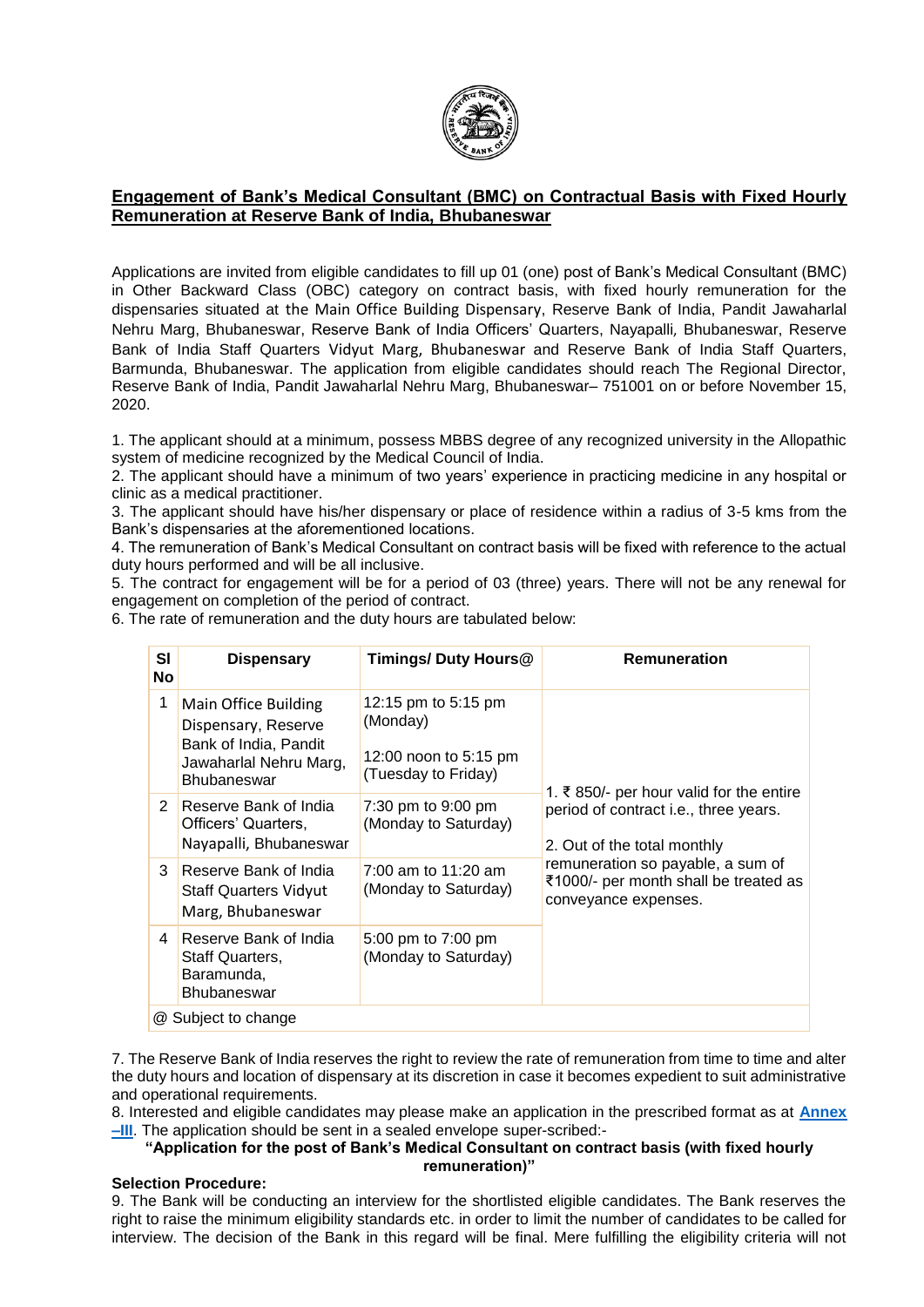

# **Engagement of Bank's Medical Consultant (BMC) on Contractual Basis with Fixed Hourly Remuneration at Reserve Bank of India, Bhubaneswar**

Applications are invited from eligible candidates to fill up 01 (one) post of Bank's Medical Consultant (BMC) in Other Backward Class (OBC) category on contract basis, with fixed hourly remuneration for the dispensaries situated at the Main Office Building Dispensary, Reserve Bank of India, Pandit Jawaharlal Nehru Marg, Bhubaneswar, Reserve Bank of India Officers' Quarters, Nayapalli, Bhubaneswar, Reserve Bank of India Staff Quarters Vidyut Marg, Bhubaneswar and Reserve Bank of India Staff Quarters, Barmunda, Bhubaneswar. The application from eligible candidates should reach The Regional Director, Reserve Bank of India, Pandit Jawaharlal Nehru Marg, Bhubaneswar– 751001 on or before November 15, 2020.

1. The applicant should at a minimum, possess MBBS degree of any recognized university in the Allopathic system of medicine recognized by the Medical Council of India.

2. The applicant should have a minimum of two years' experience in practicing medicine in any hospital or clinic as a medical practitioner.

3. The applicant should have his/her dispensary or place of residence within a radius of 3-5 kms from the Bank's dispensaries at the aforementioned locations.

4. The remuneration of Bank's Medical Consultant on contract basis will be fixed with reference to the actual duty hours performed and will be all inclusive.

5. The contract for engagement will be for a period of 03 (three) years. There will not be any renewal for engagement on completion of the period of contract.

6. The rate of remuneration and the duty hours are tabulated below:

| SI<br><b>No</b> | <b>Dispensary</b>                                                                                                    | <b>Timings/ Duty Hours@</b>                                                     | <b>Remuneration</b>                                                                                |  |  |  |  |
|-----------------|----------------------------------------------------------------------------------------------------------------------|---------------------------------------------------------------------------------|----------------------------------------------------------------------------------------------------|--|--|--|--|
| 1               | Main Office Building<br>Dispensary, Reserve<br>Bank of India, Pandit<br>Jawaharlal Nehru Marg,<br><b>Bhubaneswar</b> | 12:15 pm to 5:15 pm<br>(Monday)<br>12:00 noon to 5:15 pm<br>(Tuesday to Friday) | 1. ₹850/- per hour valid for the entire                                                            |  |  |  |  |
| 2               | Reserve Bank of India<br>Officers' Quarters,<br>Nayapalli, Bhubaneswar                                               | 7:30 pm to 9:00 pm<br>(Monday to Saturday)                                      | period of contract i.e., three years.<br>2. Out of the total monthly                               |  |  |  |  |
| 3               | Reserve Bank of India<br><b>Staff Quarters Vidyut</b><br>Marg, Bhubaneswar                                           | 7:00 am to $11:20$ am<br>(Monday to Saturday)                                   | remuneration so payable, a sum of<br>₹1000/- per month shall be treated as<br>conveyance expenses. |  |  |  |  |
| 4               | Reserve Bank of India<br>Staff Quarters,<br>Baramunda,<br><b>Bhubaneswar</b>                                         | 5:00 pm to 7:00 pm<br>(Monday to Saturday)                                      |                                                                                                    |  |  |  |  |
|                 | @ Subject to change                                                                                                  |                                                                                 |                                                                                                    |  |  |  |  |

7. The Reserve Bank of India reserves the right to review the rate of remuneration from time to time and alter the duty hours and location of dispensary at its discretion in case it becomes expedient to suit administrative and operational requirements.

8. Interested and eligible candidates may please make an application in the prescribed format as at **[Annex](#page-6-0)  [–III](#page-6-0)**. The application should be sent in a sealed envelope super-scribed:-

### **"Application for the post of Bank's Medical Consultant on contract basis (with fixed hourly remuneration)"**

### **Selection Procedure:**

9. The Bank will be conducting an interview for the shortlisted eligible candidates. The Bank reserves the right to raise the minimum eligibility standards etc. in order to limit the number of candidates to be called for interview. The decision of the Bank in this regard will be final. Mere fulfilling the eligibility criteria will not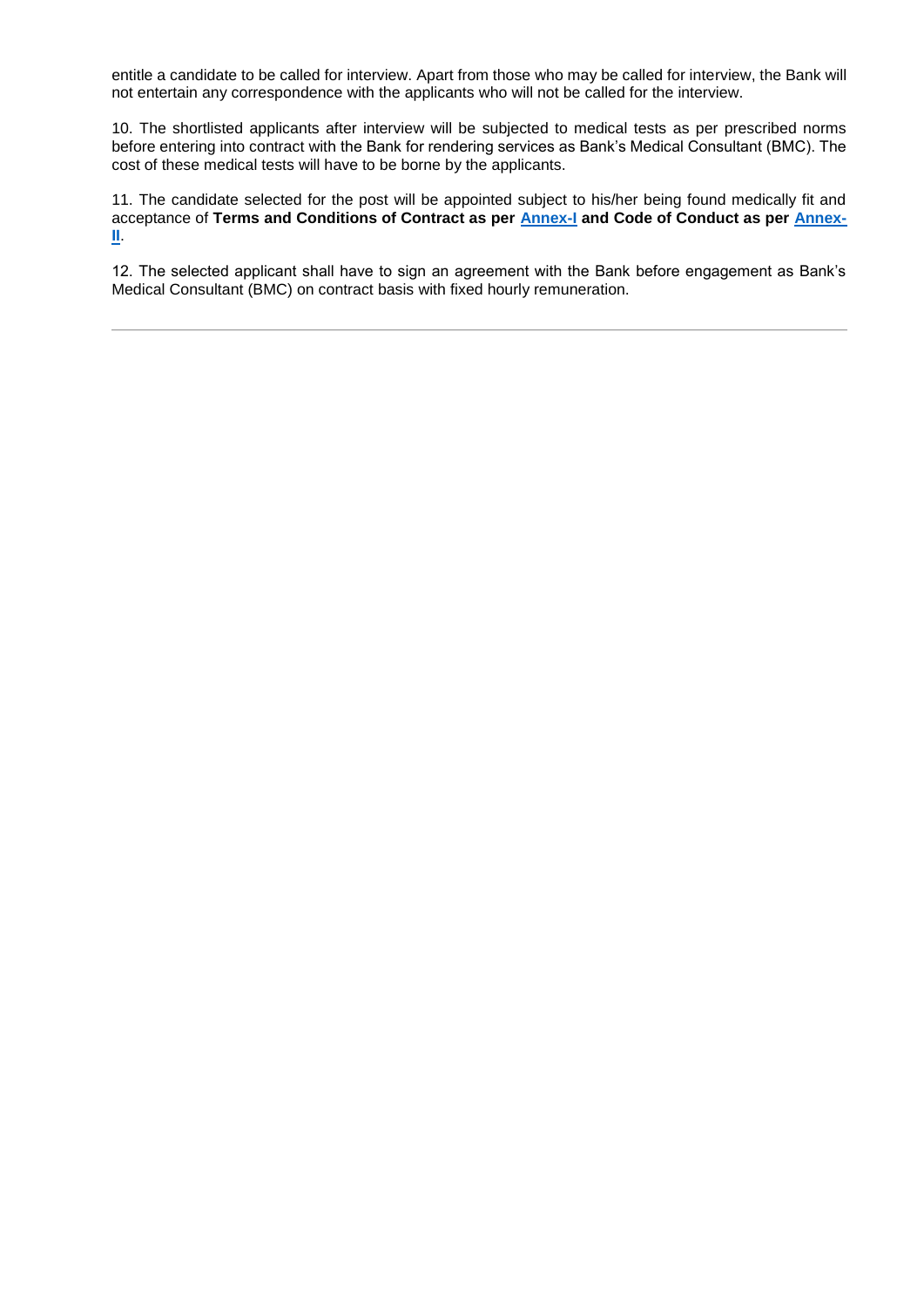entitle a candidate to be called for interview. Apart from those who may be called for interview, the Bank will not entertain any correspondence with the applicants who will not be called for the interview.

10. The shortlisted applicants after interview will be subjected to medical tests as per prescribed norms before entering into contract with the Bank for rendering services as Bank's Medical Consultant (BMC). The cost of these medical tests will have to be borne by the applicants.

11. The candidate selected for the post will be appointed subject to his/her being found medically fit and acceptance of **Terms and Conditions of Contract as per [Annex-I](#page-2-0) and Code of Conduct as per [Annex-](#page-4-0)[II](#page-4-0)**.

12. The selected applicant shall have to sign an agreement with the Bank before engagement as Bank's Medical Consultant (BMC) on contract basis with fixed hourly remuneration.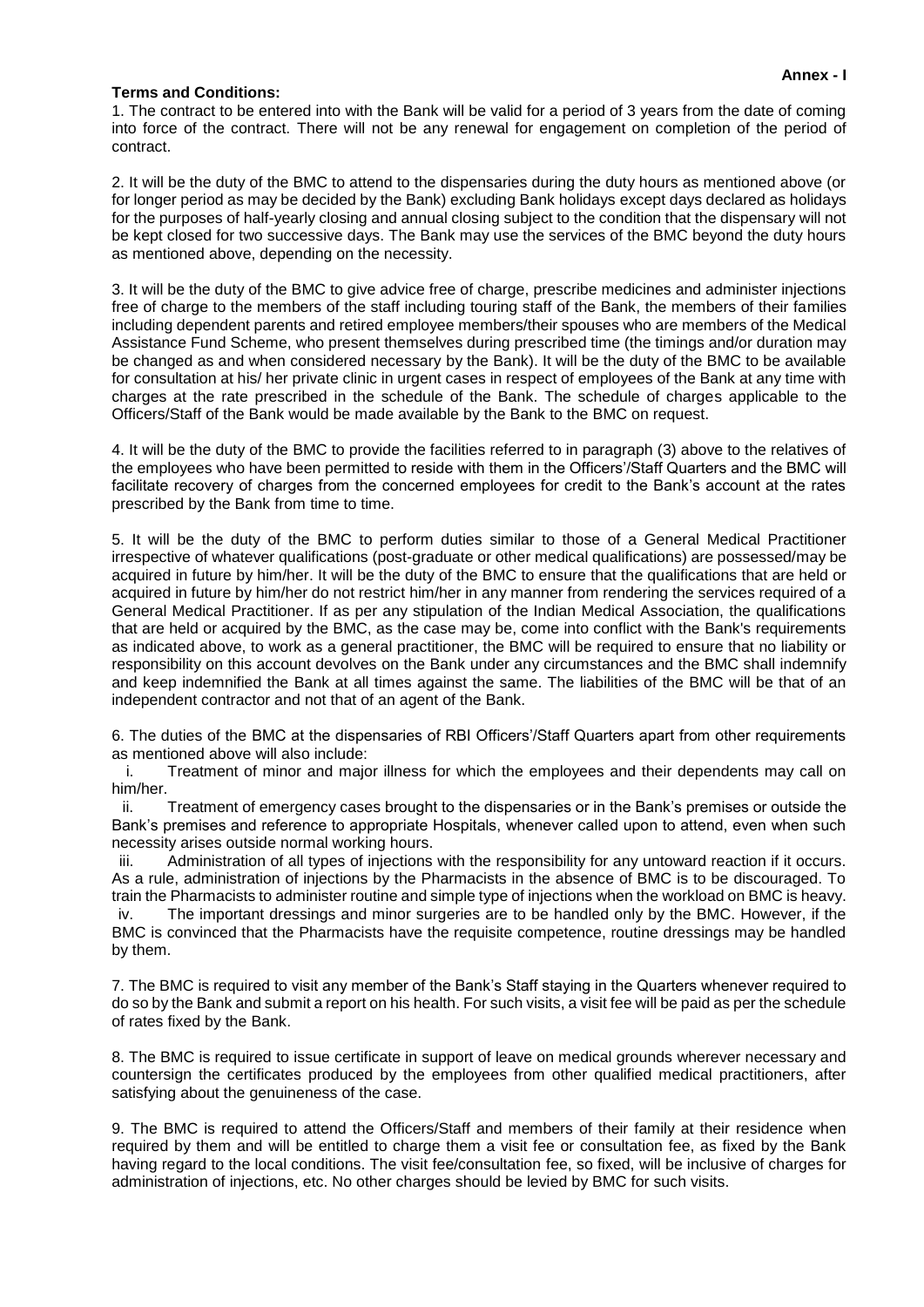#### **Annex - I**

### <span id="page-2-0"></span>**Terms and Conditions:**

1. The contract to be entered into with the Bank will be valid for a period of 3 years from the date of coming into force of the contract. There will not be any renewal for engagement on completion of the period of contract.

2. It will be the duty of the BMC to attend to the dispensaries during the duty hours as mentioned above (or for longer period as may be decided by the Bank) excluding Bank holidays except days declared as holidays for the purposes of half-yearly closing and annual closing subject to the condition that the dispensary will not be kept closed for two successive days. The Bank may use the services of the BMC beyond the duty hours as mentioned above, depending on the necessity.

3. It will be the duty of the BMC to give advice free of charge, prescribe medicines and administer injections free of charge to the members of the staff including touring staff of the Bank, the members of their families including dependent parents and retired employee members/their spouses who are members of the Medical Assistance Fund Scheme, who present themselves during prescribed time (the timings and/or duration may be changed as and when considered necessary by the Bank). It will be the duty of the BMC to be available for consultation at his/ her private clinic in urgent cases in respect of employees of the Bank at any time with charges at the rate prescribed in the schedule of the Bank. The schedule of charges applicable to the Officers/Staff of the Bank would be made available by the Bank to the BMC on request.

4. It will be the duty of the BMC to provide the facilities referred to in paragraph (3) above to the relatives of the employees who have been permitted to reside with them in the Officers'/Staff Quarters and the BMC will facilitate recovery of charges from the concerned employees for credit to the Bank's account at the rates prescribed by the Bank from time to time.

5. It will be the duty of the BMC to perform duties similar to those of a General Medical Practitioner irrespective of whatever qualifications (post-graduate or other medical qualifications) are possessed/may be acquired in future by him/her. It will be the duty of the BMC to ensure that the qualifications that are held or acquired in future by him/her do not restrict him/her in any manner from rendering the services required of a General Medical Practitioner. If as per any stipulation of the Indian Medical Association, the qualifications that are held or acquired by the BMC, as the case may be, come into conflict with the Bank's requirements as indicated above, to work as a general practitioner, the BMC will be required to ensure that no liability or responsibility on this account devolves on the Bank under any circumstances and the BMC shall indemnify and keep indemnified the Bank at all times against the same. The liabilities of the BMC will be that of an independent contractor and not that of an agent of the Bank.

6. The duties of the BMC at the dispensaries of RBI Officers'/Staff Quarters apart from other requirements as mentioned above will also include:

i. Treatment of minor and major illness for which the employees and their dependents may call on him/her.

ii. Treatment of emergency cases brought to the dispensaries or in the Bank's premises or outside the Bank's premises and reference to appropriate Hospitals, whenever called upon to attend, even when such necessity arises outside normal working hours.

iii. Administration of all types of injections with the responsibility for any untoward reaction if it occurs. As a rule, administration of injections by the Pharmacists in the absence of BMC is to be discouraged. To train the Pharmacists to administer routine and simple type of injections when the workload on BMC is heavy.

iv. The important dressings and minor surgeries are to be handled only by the BMC. However, if the BMC is convinced that the Pharmacists have the requisite competence, routine dressings may be handled by them.

7. The BMC is required to visit any member of the Bank's Staff staying in the Quarters whenever required to do so by the Bank and submit a report on his health. For such visits, a visit fee will be paid as per the schedule of rates fixed by the Bank.

8. The BMC is required to issue certificate in support of leave on medical grounds wherever necessary and countersign the certificates produced by the employees from other qualified medical practitioners, after satisfying about the genuineness of the case.

9. The BMC is required to attend the Officers/Staff and members of their family at their residence when required by them and will be entitled to charge them a visit fee or consultation fee, as fixed by the Bank having regard to the local conditions. The visit fee/consultation fee, so fixed, will be inclusive of charges for administration of injections, etc. No other charges should be levied by BMC for such visits.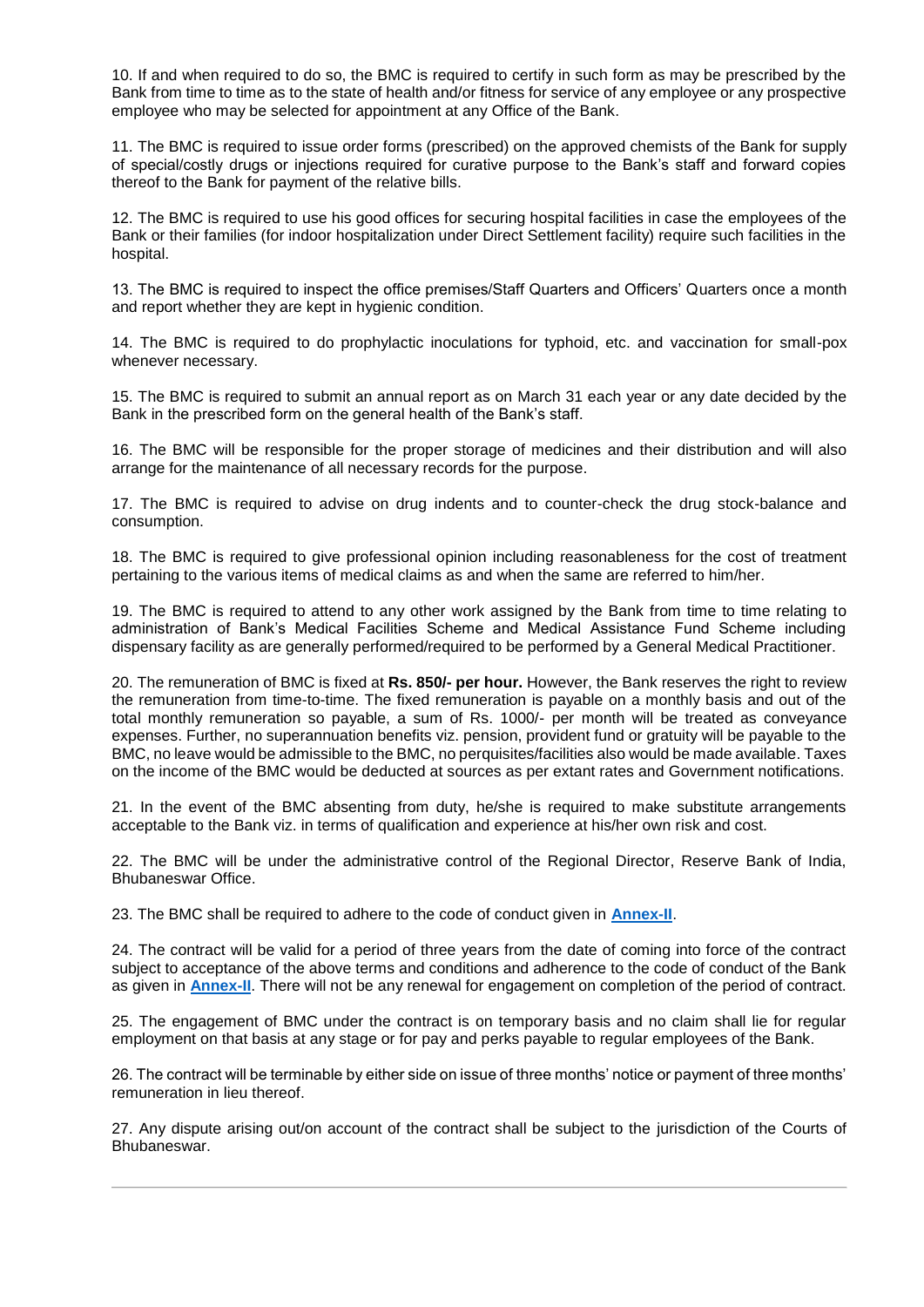10. If and when required to do so, the BMC is required to certify in such form as may be prescribed by the Bank from time to time as to the state of health and/or fitness for service of any employee or any prospective employee who may be selected for appointment at any Office of the Bank.

11. The BMC is required to issue order forms (prescribed) on the approved chemists of the Bank for supply of special/costly drugs or injections required for curative purpose to the Bank's staff and forward copies thereof to the Bank for payment of the relative bills.

12. The BMC is required to use his good offices for securing hospital facilities in case the employees of the Bank or their families (for indoor hospitalization under Direct Settlement facility) require such facilities in the hospital.

13. The BMC is required to inspect the office premises/Staff Quarters and Officers' Quarters once a month and report whether they are kept in hygienic condition.

14. The BMC is required to do prophylactic inoculations for typhoid, etc. and vaccination for small-pox whenever necessary.

15. The BMC is required to submit an annual report as on March 31 each year or any date decided by the Bank in the prescribed form on the general health of the Bank's staff.

16. The BMC will be responsible for the proper storage of medicines and their distribution and will also arrange for the maintenance of all necessary records for the purpose.

17. The BMC is required to advise on drug indents and to counter-check the drug stock-balance and consumption.

18. The BMC is required to give professional opinion including reasonableness for the cost of treatment pertaining to the various items of medical claims as and when the same are referred to him/her.

19. The BMC is required to attend to any other work assigned by the Bank from time to time relating to administration of Bank's Medical Facilities Scheme and Medical Assistance Fund Scheme including dispensary facility as are generally performed/required to be performed by a General Medical Practitioner.

20. The remuneration of BMC is fixed at **Rs. 850/- per hour.** However, the Bank reserves the right to review the remuneration from time-to-time. The fixed remuneration is payable on a monthly basis and out of the total monthly remuneration so payable, a sum of Rs. 1000/- per month will be treated as conveyance expenses. Further, no superannuation benefits viz. pension, provident fund or gratuity will be payable to the BMC, no leave would be admissible to the BMC, no perquisites/facilities also would be made available. Taxes on the income of the BMC would be deducted at sources as per extant rates and Government notifications.

21. In the event of the BMC absenting from duty, he/she is required to make substitute arrangements acceptable to the Bank viz. in terms of qualification and experience at his/her own risk and cost.

22. The BMC will be under the administrative control of the Regional Director, Reserve Bank of India, Bhubaneswar Office.

23. The BMC shall be required to adhere to the code of conduct given in **[Annex-II](#page-4-0)**.

24. The contract will be valid for a period of three years from the date of coming into force of the contract subject to acceptance of the above terms and conditions and adherence to the code of conduct of the Bank as given in **[Annex-II](#page-4-0)**. There will not be any renewal for engagement on completion of the period of contract.

25. The engagement of BMC under the contract is on temporary basis and no claim shall lie for regular employment on that basis at any stage or for pay and perks payable to regular employees of the Bank.

26. The contract will be terminable by either side on issue of three months' notice or payment of three months' remuneration in lieu thereof.

27. Any dispute arising out/on account of the contract shall be subject to the jurisdiction of the Courts of Bhubaneswar.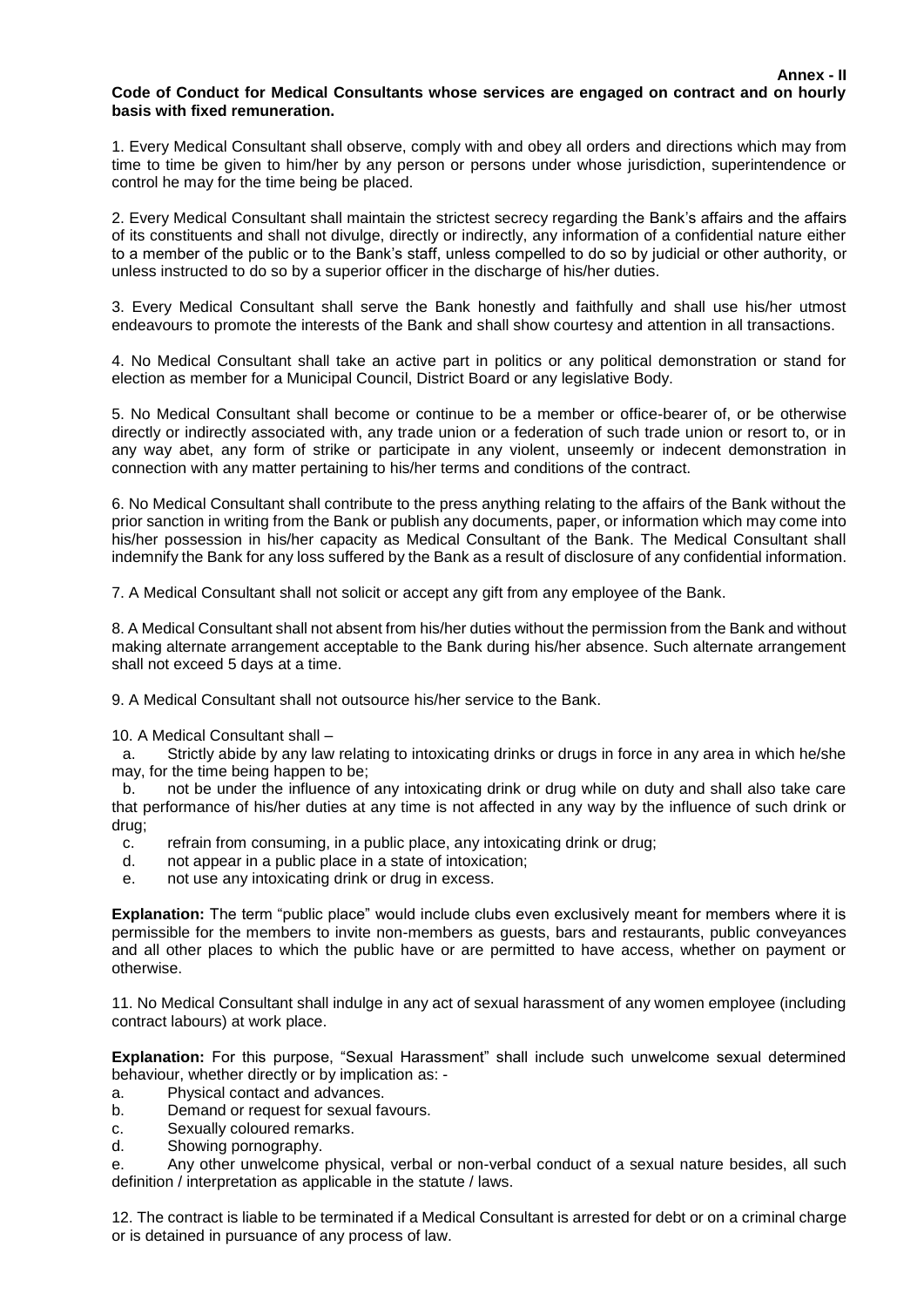#### <span id="page-4-0"></span>**Code of Conduct for Medical Consultants whose services are engaged on contract and on hourly basis with fixed remuneration.**

1. Every Medical Consultant shall observe, comply with and obey all orders and directions which may from time to time be given to him/her by any person or persons under whose jurisdiction, superintendence or control he may for the time being be placed.

2. Every Medical Consultant shall maintain the strictest secrecy regarding the Bank's affairs and the affairs of its constituents and shall not divulge, directly or indirectly, any information of a confidential nature either to a member of the public or to the Bank's staff, unless compelled to do so by judicial or other authority, or unless instructed to do so by a superior officer in the discharge of his/her duties.

3. Every Medical Consultant shall serve the Bank honestly and faithfully and shall use his/her utmost endeavours to promote the interests of the Bank and shall show courtesy and attention in all transactions.

4. No Medical Consultant shall take an active part in politics or any political demonstration or stand for election as member for a Municipal Council, District Board or any legislative Body.

5. No Medical Consultant shall become or continue to be a member or office-bearer of, or be otherwise directly or indirectly associated with, any trade union or a federation of such trade union or resort to, or in any way abet, any form of strike or participate in any violent, unseemly or indecent demonstration in connection with any matter pertaining to his/her terms and conditions of the contract.

6. No Medical Consultant shall contribute to the press anything relating to the affairs of the Bank without the prior sanction in writing from the Bank or publish any documents, paper, or information which may come into his/her possession in his/her capacity as Medical Consultant of the Bank. The Medical Consultant shall indemnify the Bank for any loss suffered by the Bank as a result of disclosure of any confidential information.

7. A Medical Consultant shall not solicit or accept any gift from any employee of the Bank.

8. A Medical Consultant shall not absent from his/her duties without the permission from the Bank and without making alternate arrangement acceptable to the Bank during his/her absence. Such alternate arrangement shall not exceed 5 days at a time.

9. A Medical Consultant shall not outsource his/her service to the Bank.

10. A Medical Consultant shall –

a. Strictly abide by any law relating to intoxicating drinks or drugs in force in any area in which he/she may, for the time being happen to be;

b. not be under the influence of any intoxicating drink or drug while on duty and shall also take care that performance of his/her duties at any time is not affected in any way by the influence of such drink or drug;

- c. refrain from consuming, in a public place, any intoxicating drink or drug;
- d. not appear in a public place in a state of intoxication;
- e. not use any intoxicating drink or drug in excess.

**Explanation:** The term "public place" would include clubs even exclusively meant for members where it is permissible for the members to invite non-members as guests, bars and restaurants, public conveyances and all other places to which the public have or are permitted to have access, whether on payment or otherwise.

11. No Medical Consultant shall indulge in any act of sexual harassment of any women employee (including contract labours) at work place.

**Explanation:** For this purpose, "Sexual Harassment" shall include such unwelcome sexual determined behaviour, whether directly or by implication as: -

- a. Physical contact and advances.
- b. Demand or request for sexual favours.
- c. Sexually coloured remarks.
- d. Showing pornography.

e. Any other unwelcome physical, verbal or non-verbal conduct of a sexual nature besides, all such definition / interpretation as applicable in the statute / laws.

12. The contract is liable to be terminated if a Medical Consultant is arrested for debt or on a criminal charge or is detained in pursuance of any process of law.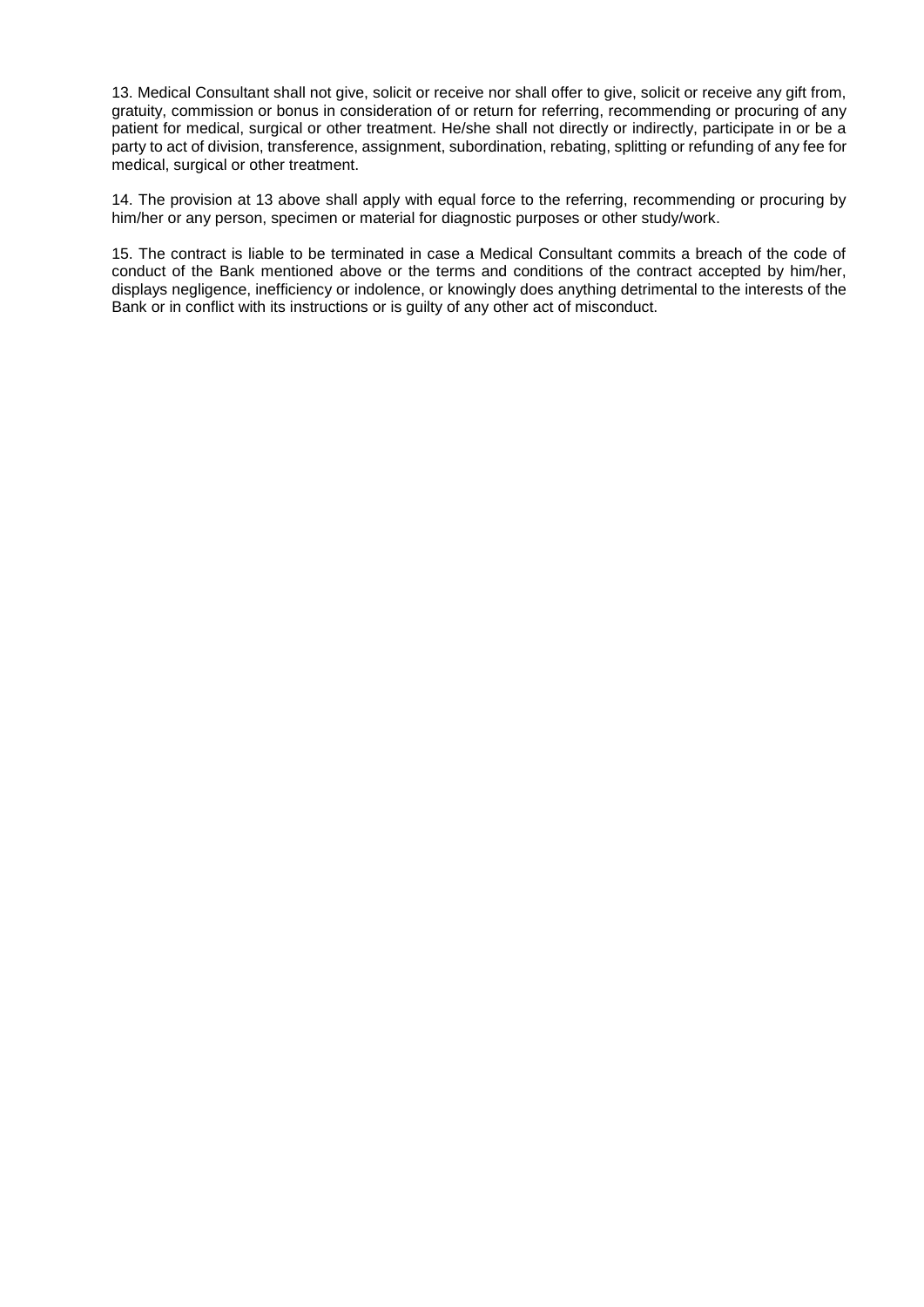13. Medical Consultant shall not give, solicit or receive nor shall offer to give, solicit or receive any gift from, gratuity, commission or bonus in consideration of or return for referring, recommending or procuring of any patient for medical, surgical or other treatment. He/she shall not directly or indirectly, participate in or be a party to act of division, transference, assignment, subordination, rebating, splitting or refunding of any fee for medical, surgical or other treatment.

14. The provision at 13 above shall apply with equal force to the referring, recommending or procuring by him/her or any person, specimen or material for diagnostic purposes or other study/work.

15. The contract is liable to be terminated in case a Medical Consultant commits a breach of the code of conduct of the Bank mentioned above or the terms and conditions of the contract accepted by him/her, displays negligence, inefficiency or indolence, or knowingly does anything detrimental to the interests of the Bank or in conflict with its instructions or is guilty of any other act of misconduct.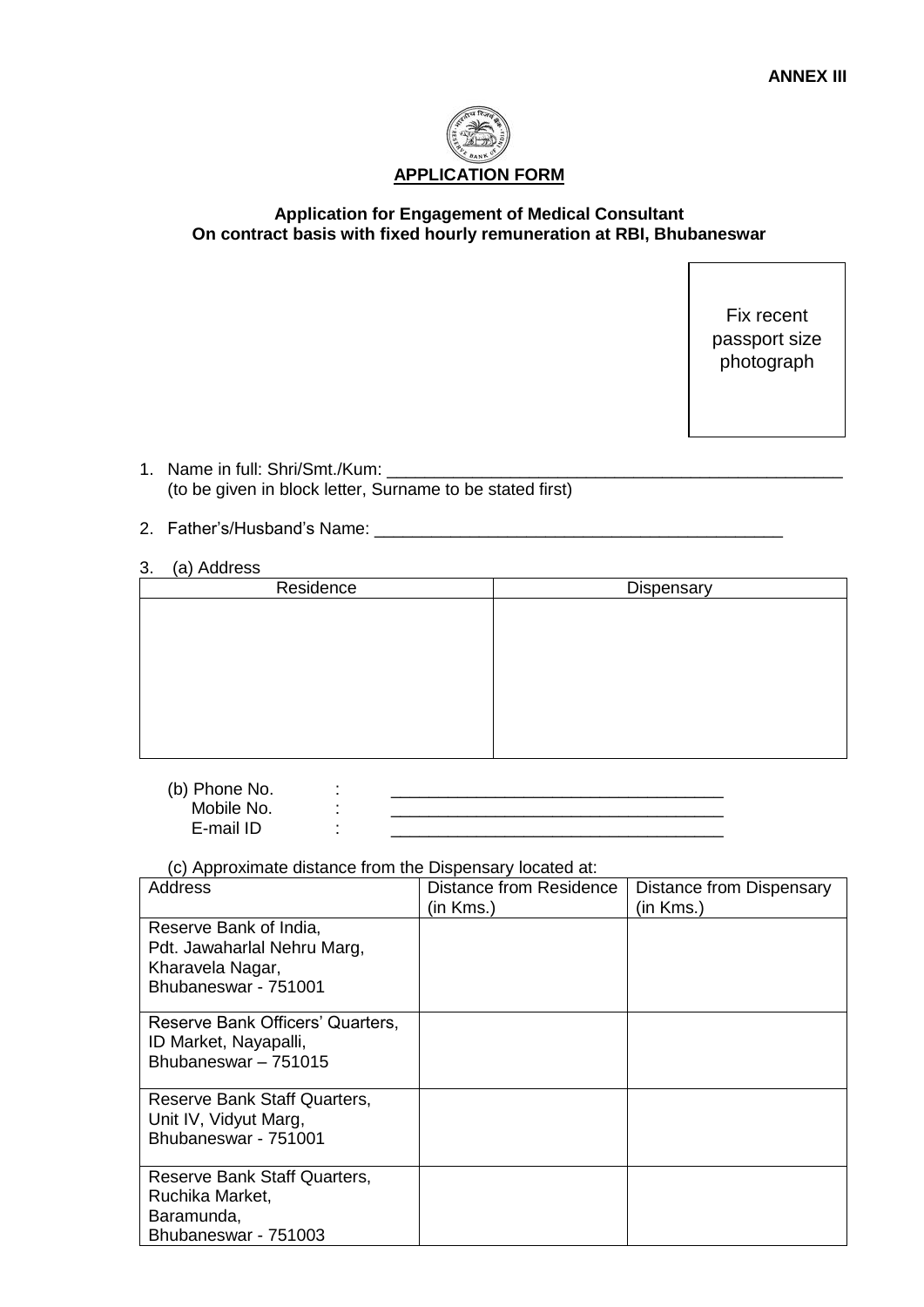

# <span id="page-6-0"></span>**Application for Engagement of Medical Consultant On contract basis with fixed hourly remuneration at RBI, Bhubaneswar**

Fix recent passport size photograph

- 1. Name in full: Shri/Smt./Kum: \_\_ (to be given in block letter, Surname to be stated first)
- 2. Father's/Husband's Name: \_\_\_\_\_\_\_\_\_\_\_\_\_\_\_\_\_\_\_\_\_\_\_\_\_\_\_\_\_\_\_\_\_\_\_\_\_\_\_\_\_\_\_
- 3. (a) Address

| Residence | Dispensary |
|-----------|------------|
|           |            |
|           |            |
|           |            |
|           |            |
|           |            |
|           |            |
|           |            |
|           |            |

| (b) Phone No. |  |
|---------------|--|
| Mobile No.    |  |
| E-mail ID     |  |

(c) Approximate distance from the Dispensary located at:

| Address                                                                                           | Distance from Residence<br>(in Kms.) | Distance from Dispensary<br>(in Kms.) |
|---------------------------------------------------------------------------------------------------|--------------------------------------|---------------------------------------|
| Reserve Bank of India,<br>Pdt. Jawaharlal Nehru Marg,<br>Kharavela Nagar,<br>Bhubaneswar - 751001 |                                      |                                       |
| Reserve Bank Officers' Quarters,<br>ID Market, Nayapalli,<br>Bhubaneswar - 751015                 |                                      |                                       |
| Reserve Bank Staff Quarters,<br>Unit IV, Vidyut Marg,<br>Bhubaneswar - 751001                     |                                      |                                       |
| Reserve Bank Staff Quarters,<br>Ruchika Market,<br>Baramunda,<br>Bhubaneswar - 751003             |                                      |                                       |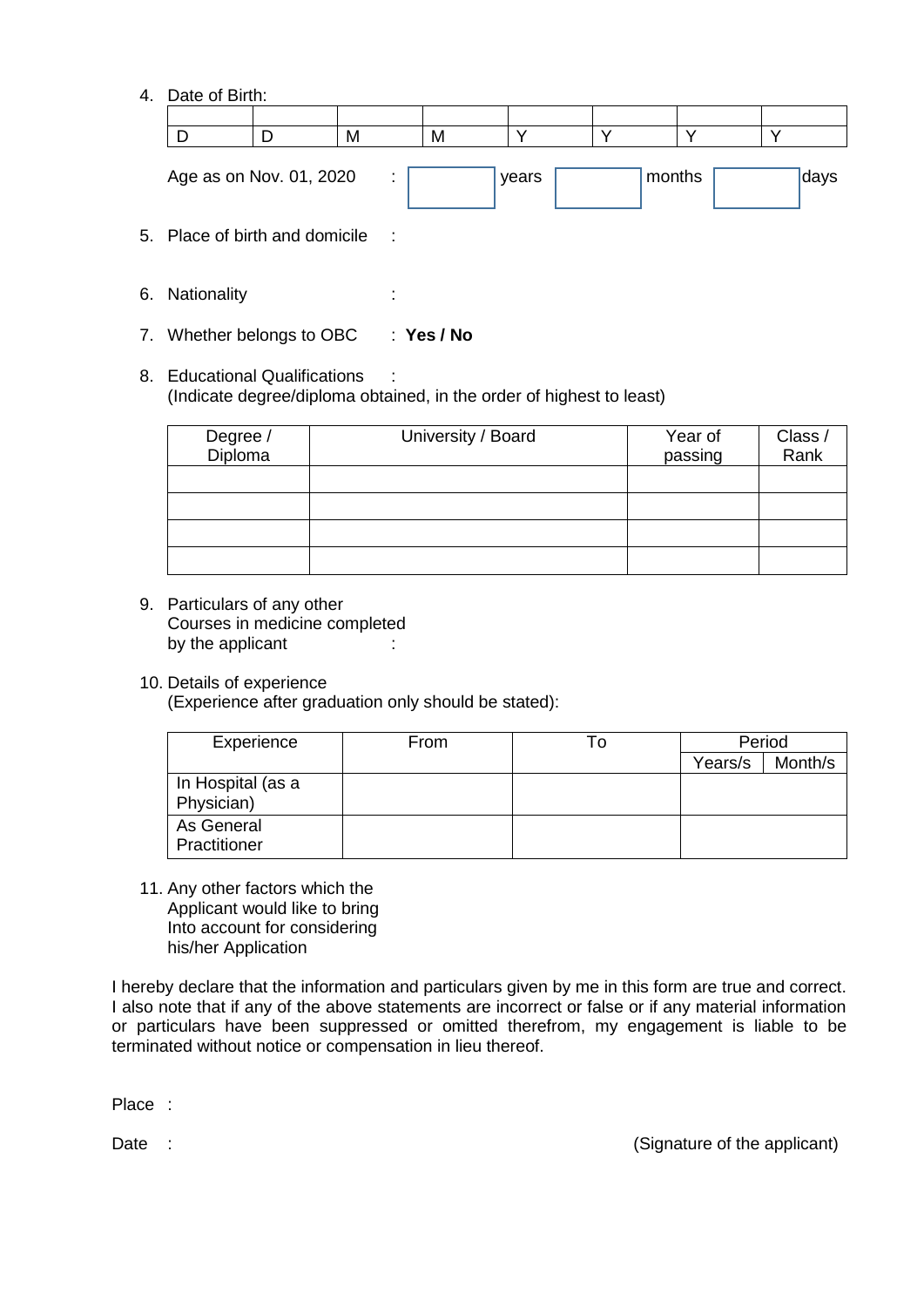4. Date of Birth:

| D                                | D | M                           | M          | ν     | v |        |  |      |
|----------------------------------|---|-----------------------------|------------|-------|---|--------|--|------|
| Age as on Nov. 01, 2020          |   | ÷                           |            | years |   | months |  | days |
| 5. Place of birth and domicile : |   |                             |            |       |   |        |  |      |
| 6. Nationality                   |   | $\blacksquare$<br>$\bullet$ |            |       |   |        |  |      |
| 7. Whether belongs to OBC        |   |                             | : Yes / No |       |   |        |  |      |

8. Educational Qualifications (Indicate degree/diploma obtained, in the order of highest to least)

| Degree /<br>Diploma | University / Board | Year of<br>passing | Class /<br>Rank |
|---------------------|--------------------|--------------------|-----------------|
|                     |                    |                    |                 |
|                     |                    |                    |                 |
|                     |                    |                    |                 |
|                     |                    |                    |                 |

- 9. Particulars of any other Courses in medicine completed by the applicant :
- 10. Details of experience (Experience after graduation only should be stated):

| Experience                      | From | ١o | Period  |         |
|---------------------------------|------|----|---------|---------|
|                                 |      |    | Years/s | Month/s |
| In Hospital (as a<br>Physician) |      |    |         |         |
| As General<br>Practitioner      |      |    |         |         |

11. Any other factors which the Applicant would like to bring Into account for considering his/her Application

I hereby declare that the information and particulars given by me in this form are true and correct. I also note that if any of the above statements are incorrect or false or if any material information or particulars have been suppressed or omitted therefrom, my engagement is liable to be terminated without notice or compensation in lieu thereof.

Place :

Date : (Signature of the applicant)